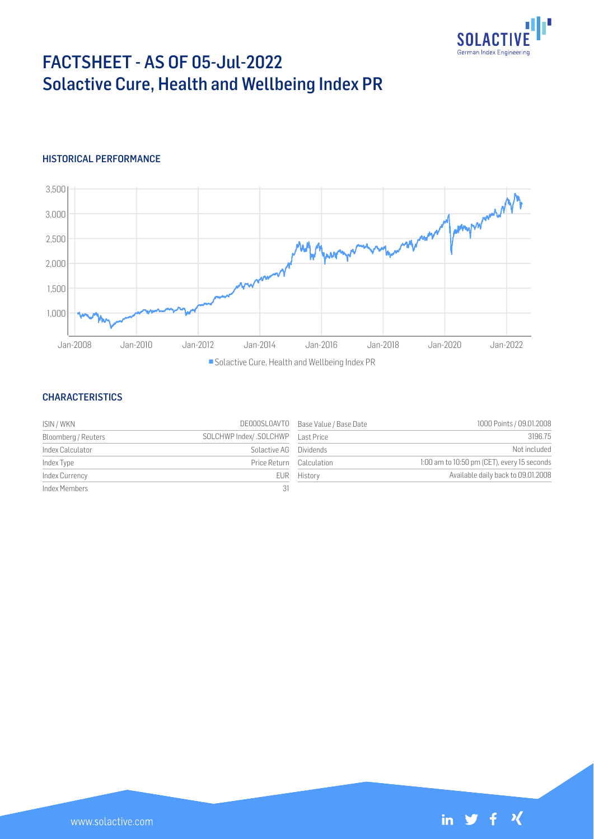

# FACTSHEET - AS OF 05-Jul-2022 Solactive Cure, Health and Wellbeing Index PR

## HISTORICAL PERFORMANCE



Solactive Cure, Health and Wellbeing Index PR

#### **CHARACTERISTICS**

| ISIN / WKN          |                          | DE000SL0AVT0 Base Value / Base Date | 1000 Points / 09.01.2008                    |
|---------------------|--------------------------|-------------------------------------|---------------------------------------------|
| Bloomberg / Reuters |                          |                                     | 3196.75                                     |
| Index Calculator    | Solactive AG Dividends   |                                     | Not included                                |
| Index Type          | Price Return Calculation |                                     | 1:00 am to 10:50 pm (CET), every 15 seconds |
| Index Currency      |                          | EUR History                         | Available daily back to 09.01.2008          |
| Index Members       | 31                       |                                     |                                             |

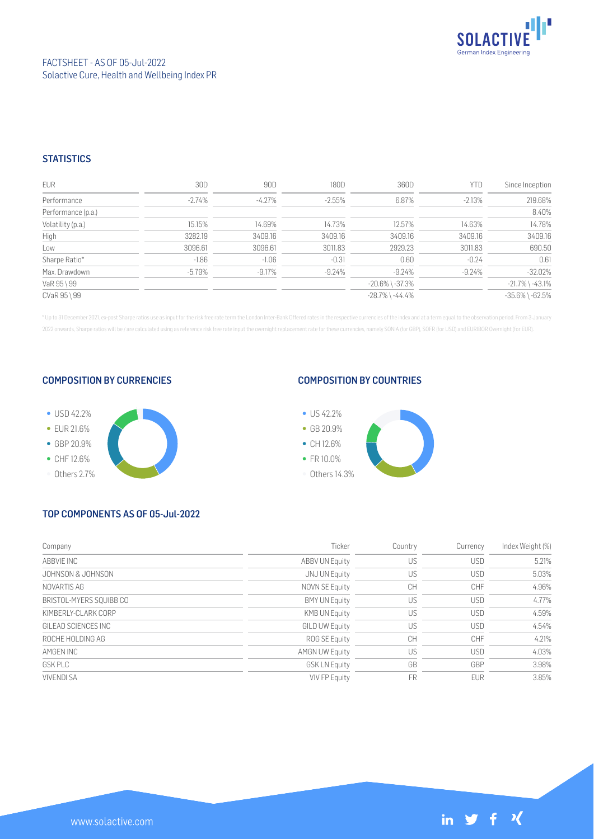

#### **STATISTICS**

| EUR                | 30D       | 90D       | 180D     | 360D                  | YTD      | Since Inception       |
|--------------------|-----------|-----------|----------|-----------------------|----------|-----------------------|
| Performance        | $-2.74\%$ | $-4.27\%$ | $-2.55%$ | 6.87%                 | $-2.13%$ | 219.68%               |
| Performance (p.a.) |           |           |          |                       |          | 8.40%                 |
| Volatility (p.a.)  | 15.15%    | 14.69%    | 14.73%   | 12.57%                | 14.63%   | 14.78%                |
| High               | 3282.19   | 3409.16   | 3409.16  | 3409.16               | 3409.16  | 3409.16               |
| Low                | 3096.61   | 3096.61   | 3011.83  | 2929.23               | 3011.83  | 690.50                |
| Sharpe Ratio*      | $-1.86$   | $-1.06$   | $-0.31$  | 0.60                  | $-0.24$  | 0.61                  |
| Max. Drawdown      | $-5.79\%$ | $-9.17%$  | $-9.24%$ | $-9.24\%$             | $-9.24%$ | $-32.02%$             |
| VaR 95 \ 99        |           |           |          | $-20.6\%$ \ $-37.3\%$ |          | $-21.7\%$ \ $-43.1\%$ |
| CVaR 95 \ 99       |           |           |          | $-28.7\%$ \ $-44.4\%$ |          | $-35.6\%$ \ $-62.5\%$ |

\* Up to 31 December 2021, ex-post Sharpe ratios use as input for the risk free rate term the London Inter-Bank Offered rates in the respective currencies of the index and at a term equal to the observation period. From 3 J 2022 onwards, Sharpe ratios will be / are calculated using as reference risk free rate input the overnight replacement rate for these currencies, namely SONIA (for GBP), SOFR (for USD) and EURIBOR Overnight (for EUR).

#### COMPOSITION BY CURRENCIES



## COMPOSITION BY COUNTRIES



## TOP COMPONENTS AS OF 05-Jul-2022

| Company                 | Ticker                | Country | Currency   | Index Weight (%) |
|-------------------------|-----------------------|---------|------------|------------------|
| ABBVIE INC              | <b>ABBV UN Equity</b> | US      | <b>USD</b> | 5.21%            |
| JOHNSON & JOHNSON       | JNJ UN Equity         | US      | <b>USD</b> | 5.03%            |
| NOVARTIS AG             | <b>NOVN SE Equity</b> | CH      | <b>CHF</b> | 4.96%            |
| BRISTOL-MYERS SOUIBB CO | <b>BMY UN Equity</b>  | US      | <b>USD</b> | 4.77%            |
| KIMBERLY-CLARK CORP     | <b>KMB UN Equity</b>  | US      | <b>USD</b> | 4.59%            |
| GILFAD SCIENCES INC.    | <b>GILD UW Equity</b> | US      | <b>USD</b> | 4.54%            |
| ROCHE HOLDING AG        | ROG SE Equity         | CH      | CHF        | 4.21%            |
| AMGEN INC               | <b>AMGN UW Equity</b> | US      | <b>USD</b> | 4.03%            |
| <b>GSK PLC</b>          | <b>GSK LN Equity</b>  | GB      | GBP        | 3.98%            |
| <b>VIVENDI SA</b>       | <b>VIV FP Equity</b>  | FR      | <b>EUR</b> | 3.85%            |